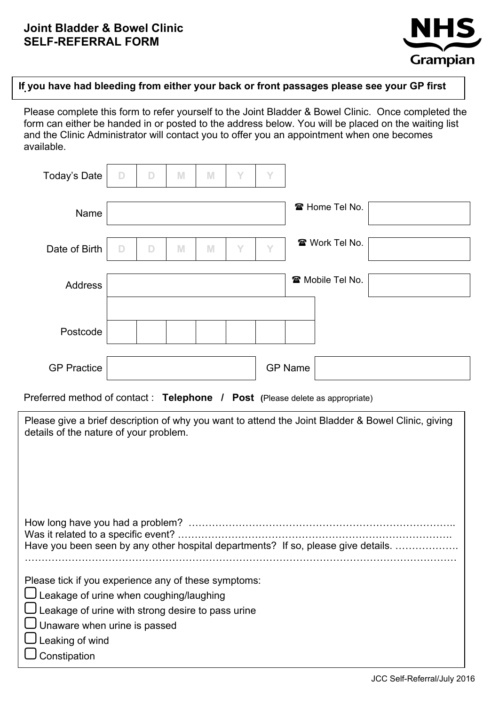

# **If you have had bleeding from either your back or front passages please see your GP first .**

Please complete this form to refer yourself to the Joint Bladder & Bowel Clinic. Once completed the form can either be handed in or posted to the address below. You will be placed on the waiting list and the Clinic Administrator will contact you to offer you an appointment when one becomes available.

| <b>Today's Date</b> | $\mathsf D$ | $\Box$ | M | M | Y | Y |                |                         |  |
|---------------------|-------------|--------|---|---|---|---|----------------|-------------------------|--|
| Name                |             |        |   |   |   |   |                | ☎ Home Tel No.          |  |
| Date of Birth       | $\Box$      | D      | M | M | Y | Y |                | ☎ Work Tel No.          |  |
| <b>Address</b>      |             |        |   |   |   |   |                | <b>雷 Mobile Tel No.</b> |  |
| Postcode            |             |        |   |   |   |   |                |                         |  |
| <b>GP Practice</b>  |             |        |   |   |   |   | <b>GP Name</b> |                         |  |

Preferred method of contact : **Telephone / Post (**Please delete as appropriate)

| Please give a brief description of why you want to attend the Joint Bladder & Bowel Clinic, giving<br>details of the nature of your problem.                                                                                               |
|--------------------------------------------------------------------------------------------------------------------------------------------------------------------------------------------------------------------------------------------|
| Was it related to a specific event? ……………………………………………………………………<br>Have you been seen by any other hospital departments? If so, please give details.                                                                                        |
| Please tick if you experience any of these symptoms:<br>Leakage of urine when coughing/laughing<br>Leakage of urine with strong desire to pass urine<br>$\bigcup$ Unaware when urine is passed<br>$\sqcup$ Leaking of wind<br>Constipation |